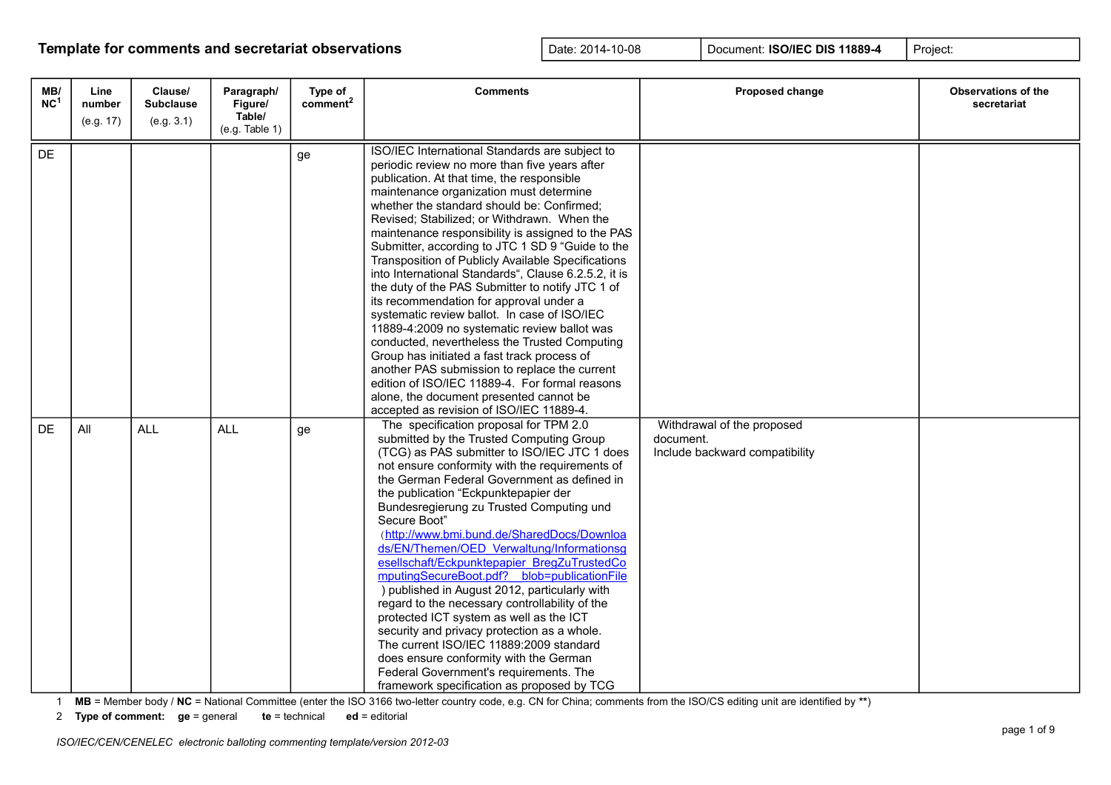| MB/<br>NC <sup>1</sup> | Line<br>number<br>(e.g. 17) | Clause/<br><b>Subclause</b><br>(e.g. 3.1) | Paragraph/<br>Figure/<br>Table/ | Type of<br>comment <sup>2</sup> | <b>Comments</b>                                                                                                                                                                                                                                                                                                                                                                                                                                                                                                                                                                                                                                                                                                                                                                                                                                                                                                                                                                                       | Proposed change                                                           | <b>Observations of the</b><br>secretariat |
|------------------------|-----------------------------|-------------------------------------------|---------------------------------|---------------------------------|-------------------------------------------------------------------------------------------------------------------------------------------------------------------------------------------------------------------------------------------------------------------------------------------------------------------------------------------------------------------------------------------------------------------------------------------------------------------------------------------------------------------------------------------------------------------------------------------------------------------------------------------------------------------------------------------------------------------------------------------------------------------------------------------------------------------------------------------------------------------------------------------------------------------------------------------------------------------------------------------------------|---------------------------------------------------------------------------|-------------------------------------------|
| DE                     |                             |                                           | (e.g. Table 1)                  | ge                              | ISO/IEC International Standards are subject to<br>periodic review no more than five years after<br>publication. At that time, the responsible<br>maintenance organization must determine<br>whether the standard should be: Confirmed;<br>Revised; Stabilized; or Withdrawn. When the<br>maintenance responsibility is assigned to the PAS<br>Submitter, according to JTC 1 SD 9 "Guide to the<br>Transposition of Publicly Available Specifications<br>into International Standards", Clause 6.2.5.2, it is<br>the duty of the PAS Submitter to notify JTC 1 of<br>its recommendation for approval under a<br>systematic review ballot. In case of ISO/IEC<br>11889-4:2009 no systematic review ballot was<br>conducted, nevertheless the Trusted Computing<br>Group has initiated a fast track process of<br>another PAS submission to replace the current<br>edition of ISO/IEC 11889-4. For formal reasons<br>alone, the document presented cannot be<br>accepted as revision of ISO/IEC 11889-4. |                                                                           |                                           |
| <b>DE</b>              | All                         | <b>ALL</b>                                | <b>ALL</b>                      | ge                              | The specification proposal for TPM 2.0<br>submitted by the Trusted Computing Group<br>(TCG) as PAS submitter to ISO/IEC JTC 1 does<br>not ensure conformity with the requirements of<br>the German Federal Government as defined in<br>the publication "Eckpunktepapier der<br>Bundesregierung zu Trusted Computing und<br>Secure Boot"<br>(http://www.bmi.bund.de/SharedDocs/Downloa<br>ds/EN/Themen/OED Verwaltung/Informationsg<br>esellschaft/Eckpunktepapier BregZuTrustedCo<br>mputingSecureBoot.pdf? blob=publicationFile<br>) published in August 2012, particularly with<br>regard to the necessary controllability of the<br>protected ICT system as well as the ICT<br>security and privacy protection as a whole.<br>The current ISO/IEC 11889:2009 standard<br>does ensure conformity with the German<br>Federal Government's requirements. The<br>framework specification as proposed by TCG                                                                                            | Withdrawal of the proposed<br>document.<br>Include backward compatibility |                                           |

1 **MB** = Member body / **NC** = National Committee (enter the ISO 3166 two-letter country code, e.g. CN for China; comments from the ISO/CS editing unit are identified by **\*\***)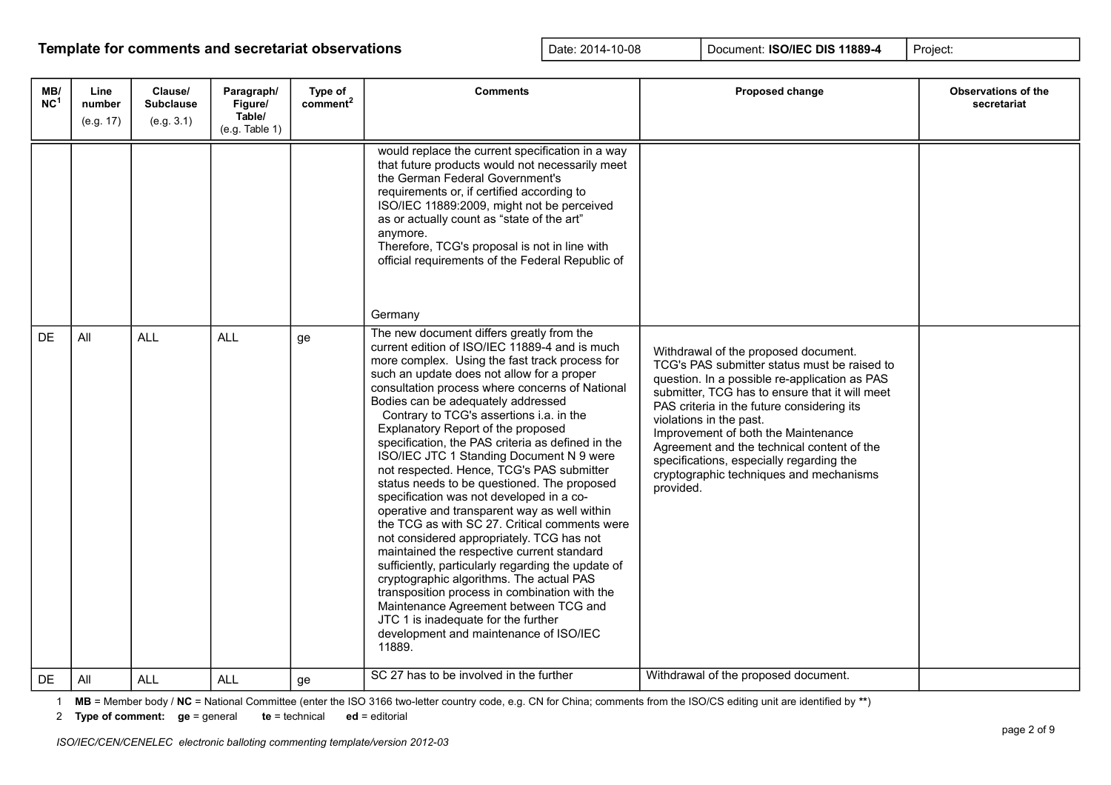| MB/<br>NC <sup>1</sup> | Line<br>number<br>(e.g. 17) | Clause/<br><b>Subclause</b><br>(e.g. 3.1) | Paragraph/<br>Figure/<br>Table/<br>(e.g. Table 1) | Type of<br>comment <sup>2</sup> | <b>Comments</b>                                                                                                                                                                                                                                                                                                                                                                                                                                                                                                                                                                                                                                                                                                                                                                                                                                                                                                                                                                                                                                                                                    | Proposed change                                                                                                                                                                                                                                                                                                                                                                                                                                           | <b>Observations of the</b><br>secretariat |
|------------------------|-----------------------------|-------------------------------------------|---------------------------------------------------|---------------------------------|----------------------------------------------------------------------------------------------------------------------------------------------------------------------------------------------------------------------------------------------------------------------------------------------------------------------------------------------------------------------------------------------------------------------------------------------------------------------------------------------------------------------------------------------------------------------------------------------------------------------------------------------------------------------------------------------------------------------------------------------------------------------------------------------------------------------------------------------------------------------------------------------------------------------------------------------------------------------------------------------------------------------------------------------------------------------------------------------------|-----------------------------------------------------------------------------------------------------------------------------------------------------------------------------------------------------------------------------------------------------------------------------------------------------------------------------------------------------------------------------------------------------------------------------------------------------------|-------------------------------------------|
|                        |                             |                                           |                                                   |                                 | would replace the current specification in a way<br>that future products would not necessarily meet<br>the German Federal Government's<br>requirements or, if certified according to<br>ISO/IEC 11889:2009, might not be perceived<br>as or actually count as "state of the art"<br>anymore.<br>Therefore, TCG's proposal is not in line with<br>official requirements of the Federal Republic of<br>Germany                                                                                                                                                                                                                                                                                                                                                                                                                                                                                                                                                                                                                                                                                       |                                                                                                                                                                                                                                                                                                                                                                                                                                                           |                                           |
| DE                     | All                         | <b>ALL</b>                                | <b>ALL</b>                                        | ge                              | The new document differs greatly from the<br>current edition of ISO/IEC 11889-4 and is much<br>more complex. Using the fast track process for<br>such an update does not allow for a proper<br>consultation process where concerns of National<br>Bodies can be adequately addressed<br>Contrary to TCG's assertions i.a. in the<br>Explanatory Report of the proposed<br>specification, the PAS criteria as defined in the<br>ISO/IEC JTC 1 Standing Document N 9 were<br>not respected. Hence, TCG's PAS submitter<br>status needs to be questioned. The proposed<br>specification was not developed in a co-<br>operative and transparent way as well within<br>the TCG as with SC 27. Critical comments were<br>not considered appropriately. TCG has not<br>maintained the respective current standard<br>sufficiently, particularly regarding the update of<br>cryptographic algorithms. The actual PAS<br>transposition process in combination with the<br>Maintenance Agreement between TCG and<br>JTC 1 is inadequate for the further<br>development and maintenance of ISO/IEC<br>11889. | Withdrawal of the proposed document.<br>TCG's PAS submitter status must be raised to<br>question. In a possible re-application as PAS<br>submitter, TCG has to ensure that it will meet<br>PAS criteria in the future considering its<br>violations in the past.<br>Improvement of both the Maintenance<br>Agreement and the technical content of the<br>specifications, especially regarding the<br>cryptographic techniques and mechanisms<br>provided. |                                           |
| DE                     | All                         | <b>ALL</b>                                | <b>ALL</b>                                        | ge                              | SC 27 has to be involved in the further                                                                                                                                                                                                                                                                                                                                                                                                                                                                                                                                                                                                                                                                                                                                                                                                                                                                                                                                                                                                                                                            | Withdrawal of the proposed document.                                                                                                                                                                                                                                                                                                                                                                                                                      |                                           |

1 **MB** = Member body / **NC** = National Committee (enter the ISO 3166 two-letter country code, e.g. CN for China; comments from the ISO/CS editing unit are identified by **\*\***)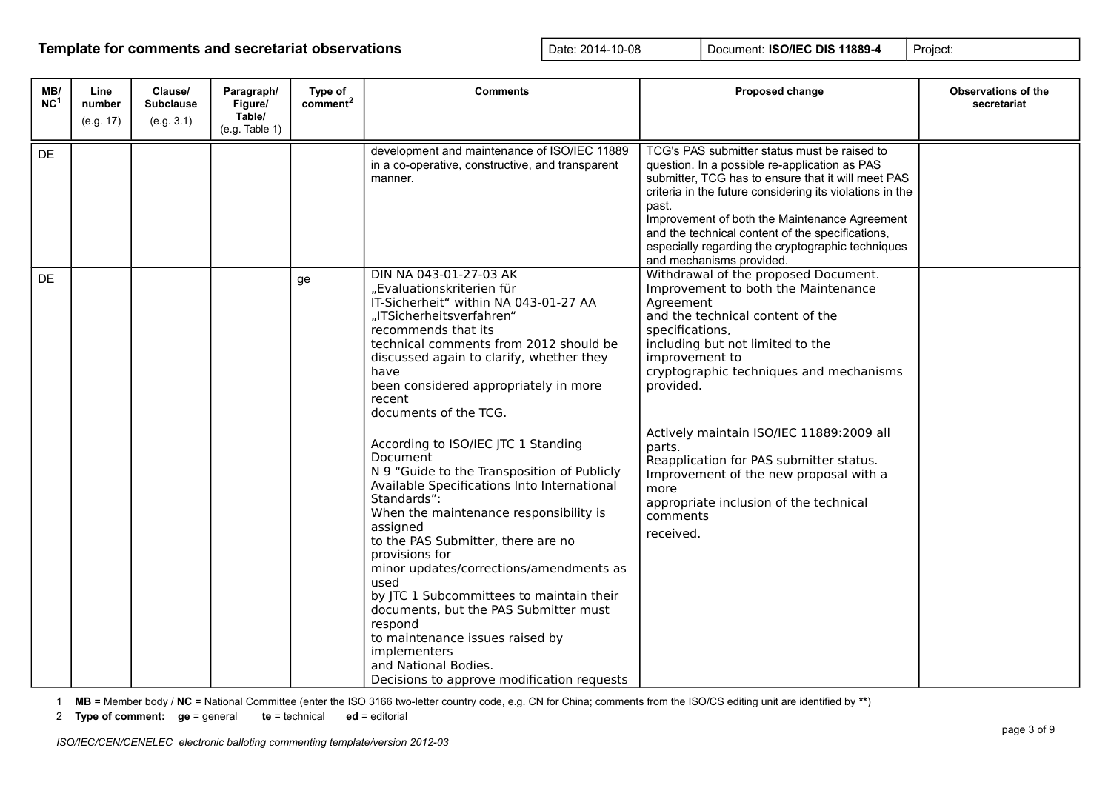| MB/<br>NC <sup>1</sup> | Line<br>number<br>(e.g. 17) | Clause/<br><b>Subclause</b><br>(e.g. 3.1) | Paragraph/<br>Figure/<br>Table/<br>(e.g. Table 1) | Type of<br>comment <sup>2</sup> | <b>Comments</b>                                                                                                                                                                                                                                                                                                                                                                                                                                                                                                                                                                                                                                                                                                                                                                                                                                                                     | Proposed change                                                                                                                                                                                                                                                                                                                                                                                                                                                                     | <b>Observations of the</b><br>secretariat |
|------------------------|-----------------------------|-------------------------------------------|---------------------------------------------------|---------------------------------|-------------------------------------------------------------------------------------------------------------------------------------------------------------------------------------------------------------------------------------------------------------------------------------------------------------------------------------------------------------------------------------------------------------------------------------------------------------------------------------------------------------------------------------------------------------------------------------------------------------------------------------------------------------------------------------------------------------------------------------------------------------------------------------------------------------------------------------------------------------------------------------|-------------------------------------------------------------------------------------------------------------------------------------------------------------------------------------------------------------------------------------------------------------------------------------------------------------------------------------------------------------------------------------------------------------------------------------------------------------------------------------|-------------------------------------------|
| DE                     |                             |                                           |                                                   |                                 | development and maintenance of ISO/IEC 11889<br>in a co-operative, constructive, and transparent<br>manner.                                                                                                                                                                                                                                                                                                                                                                                                                                                                                                                                                                                                                                                                                                                                                                         | TCG's PAS submitter status must be raised to<br>question. In a possible re-application as PAS<br>submitter, TCG has to ensure that it will meet PAS<br>criteria in the future considering its violations in the<br>past.<br>Improvement of both the Maintenance Agreement<br>and the technical content of the specifications,<br>especially regarding the cryptographic techniques<br>and mechanisms provided.                                                                      |                                           |
| DE                     |                             |                                           |                                                   | ge                              | DIN NA 043-01-27-03 AK<br>"Evaluationskriterien für<br>IT-Sicherheit" within NA 043-01-27 AA<br>"ITSicherheitsverfahren"<br>recommends that its<br>technical comments from 2012 should be<br>discussed again to clarify, whether they<br>have<br>been considered appropriately in more<br>recent<br>documents of the TCG.<br>According to ISO/IEC JTC 1 Standing<br>Document<br>N 9 "Guide to the Transposition of Publicly<br>Available Specifications Into International<br>Standards":<br>When the maintenance responsibility is<br>assigned<br>to the PAS Submitter, there are no<br>provisions for<br>minor updates/corrections/amendments as<br>used<br>by JTC 1 Subcommittees to maintain their<br>documents, but the PAS Submitter must<br>respond<br>to maintenance issues raised by<br>implementers<br>and National Bodies.<br>Decisions to approve modification requests | Withdrawal of the proposed Document.<br>Improvement to both the Maintenance<br>Agreement<br>and the technical content of the<br>specifications,<br>including but not limited to the<br>improvement to<br>cryptographic techniques and mechanisms<br>provided.<br>Actively maintain ISO/IEC 11889:2009 all<br>parts.<br>Reapplication for PAS submitter status.<br>Improvement of the new proposal with a<br>more<br>appropriate inclusion of the technical<br>comments<br>received. |                                           |

1 **MB** = Member body / **NC** = National Committee (enter the ISO 3166 two-letter country code, e.g. CN for China; comments from the ISO/CS editing unit are identified by **\*\***)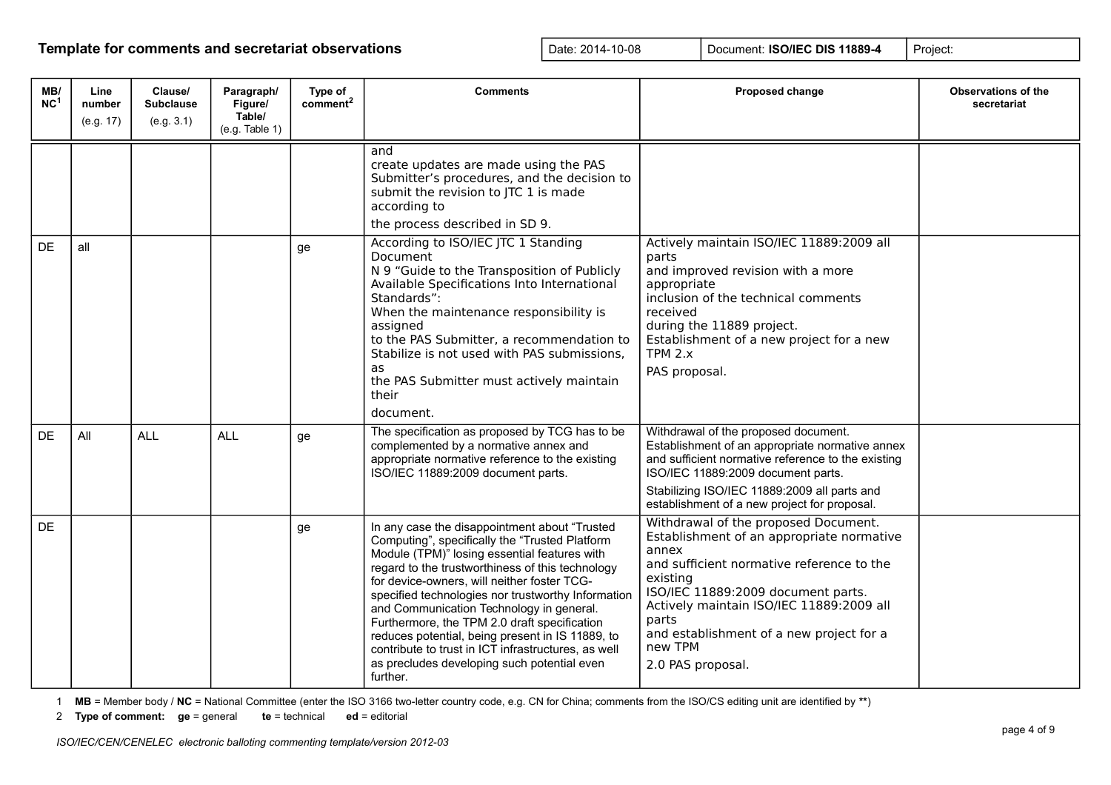| MB/<br>NC <sup>1</sup> | Line<br>number<br>(e.g. 17) | Clause/<br><b>Subclause</b><br>(e.g. 3.1) | Paragraph/<br>Figure/<br>Table/<br>(e.g. Table 1) | Type of<br>comment <sup>2</sup> | <b>Comments</b>                                                                                                                                                                                                                                                                                                                                                                                                                                                                                                                                                            | <b>Proposed change</b>                                                                                                                                                                                                                                                                                                     | <b>Observations of the</b><br>secretariat |
|------------------------|-----------------------------|-------------------------------------------|---------------------------------------------------|---------------------------------|----------------------------------------------------------------------------------------------------------------------------------------------------------------------------------------------------------------------------------------------------------------------------------------------------------------------------------------------------------------------------------------------------------------------------------------------------------------------------------------------------------------------------------------------------------------------------|----------------------------------------------------------------------------------------------------------------------------------------------------------------------------------------------------------------------------------------------------------------------------------------------------------------------------|-------------------------------------------|
|                        |                             |                                           |                                                   |                                 | and<br>create updates are made using the PAS<br>Submitter's procedures, and the decision to<br>submit the revision to JTC 1 is made<br>according to<br>the process described in SD 9.                                                                                                                                                                                                                                                                                                                                                                                      |                                                                                                                                                                                                                                                                                                                            |                                           |
| <b>DE</b>              | all                         |                                           |                                                   | ge                              | According to ISO/IEC JTC 1 Standing<br>Document<br>N 9 "Guide to the Transposition of Publicly<br>Available Specifications Into International<br>Standards":<br>When the maintenance responsibility is<br>assigned<br>to the PAS Submitter, a recommendation to<br>Stabilize is not used with PAS submissions,<br>as<br>the PAS Submitter must actively maintain<br>their<br>document.                                                                                                                                                                                     | Actively maintain ISO/IEC 11889:2009 all<br>parts<br>and improved revision with a more<br>appropriate<br>inclusion of the technical comments<br>received<br>during the 11889 project.<br>Establishment of a new project for a new<br>TPM $2.x$<br>PAS proposal.                                                            |                                           |
| <b>DE</b>              | All                         | <b>ALL</b>                                | <b>ALL</b>                                        | ge                              | The specification as proposed by TCG has to be<br>complemented by a normative annex and<br>appropriate normative reference to the existing<br>ISO/IEC 11889:2009 document parts.                                                                                                                                                                                                                                                                                                                                                                                           | Withdrawal of the proposed document.<br>Establishment of an appropriate normative annex<br>and sufficient normative reference to the existing<br>ISO/IEC 11889:2009 document parts.<br>Stabilizing ISO/IEC 11889:2009 all parts and<br>establishment of a new project for proposal.                                        |                                           |
| <b>DE</b>              |                             |                                           |                                                   | ge                              | In any case the disappointment about "Trusted<br>Computing", specifically the "Trusted Platform<br>Module (TPM)" losing essential features with<br>regard to the trustworthiness of this technology<br>for device-owners, will neither foster TCG-<br>specified technologies nor trustworthy Information<br>and Communication Technology in general.<br>Furthermore, the TPM 2.0 draft specification<br>reduces potential, being present in IS 11889, to<br>contribute to trust in ICT infrastructures, as well<br>as precludes developing such potential even<br>further. | Withdrawal of the proposed Document.<br>Establishment of an appropriate normative<br>annex<br>and sufficient normative reference to the<br>existing<br>ISO/IEC 11889:2009 document parts.<br>Actively maintain ISO/IEC 11889:2009 all<br>parts<br>and establishment of a new project for a<br>new TPM<br>2.0 PAS proposal. |                                           |

1 **MB** = Member body / **NC** = National Committee (enter the ISO 3166 two-letter country code, e.g. CN for China; comments from the ISO/CS editing unit are identified by **\*\***)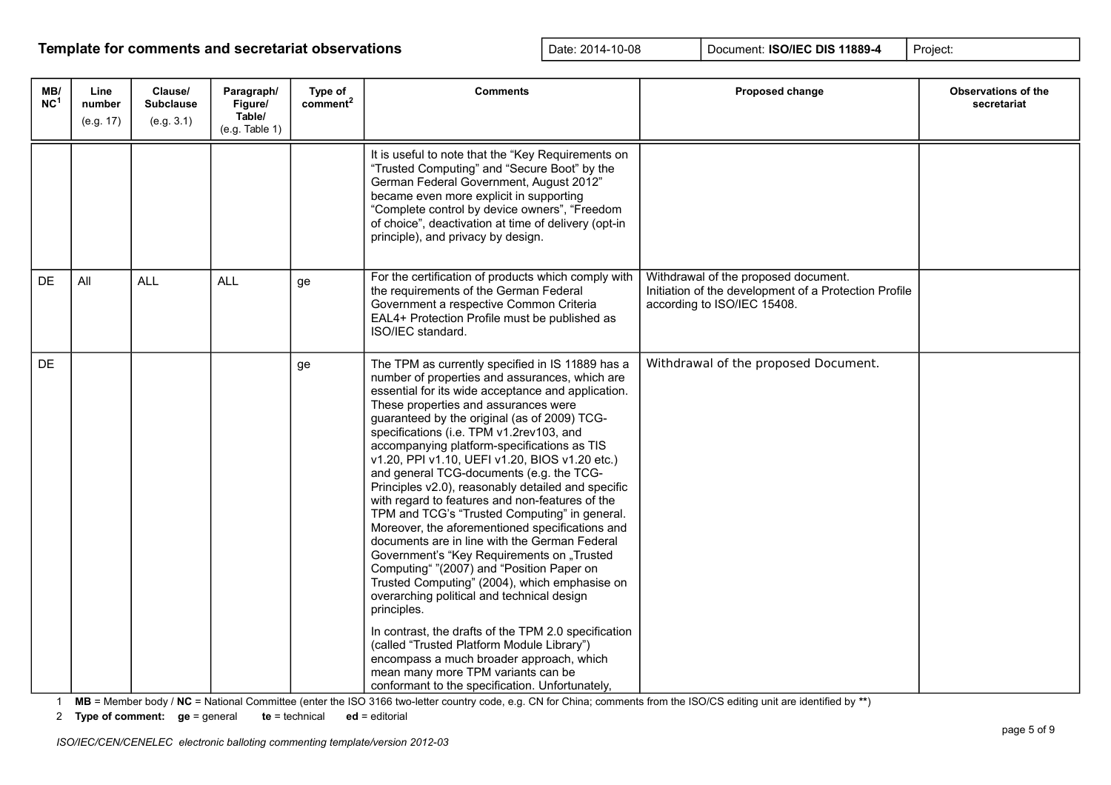| MB/<br>NC <sup>1</sup> | Line<br>number<br>(e.g. 17) | Clause/<br><b>Subclause</b><br>(e.g. 3.1) | Paragraph/<br>Figure/<br>Table/<br>(e.g. Table 1) | Type of<br>c <sub>omment</sub> <sup>2</sup> | <b>Comments</b>                                                                                                                                                                                                                                                                                                                                                                                                                                                                                                                                                                                                                                                                                                                                                                                                                                                                                                                                                                                                                                                                                                                                             | Proposed change                                                                                                              | <b>Observations of the</b><br>secretariat |
|------------------------|-----------------------------|-------------------------------------------|---------------------------------------------------|---------------------------------------------|-------------------------------------------------------------------------------------------------------------------------------------------------------------------------------------------------------------------------------------------------------------------------------------------------------------------------------------------------------------------------------------------------------------------------------------------------------------------------------------------------------------------------------------------------------------------------------------------------------------------------------------------------------------------------------------------------------------------------------------------------------------------------------------------------------------------------------------------------------------------------------------------------------------------------------------------------------------------------------------------------------------------------------------------------------------------------------------------------------------------------------------------------------------|------------------------------------------------------------------------------------------------------------------------------|-------------------------------------------|
|                        |                             |                                           |                                                   |                                             | It is useful to note that the "Key Requirements on<br>"Trusted Computing" and "Secure Boot" by the<br>German Federal Government, August 2012"<br>became even more explicit in supporting<br>"Complete control by device owners", "Freedom<br>of choice", deactivation at time of delivery (opt-in<br>principle), and privacy by design.                                                                                                                                                                                                                                                                                                                                                                                                                                                                                                                                                                                                                                                                                                                                                                                                                     |                                                                                                                              |                                           |
| DE                     | All                         | <b>ALL</b>                                | <b>ALL</b>                                        | ge                                          | For the certification of products which comply with<br>the requirements of the German Federal<br>Government a respective Common Criteria<br>EAL4+ Protection Profile must be published as<br>ISO/IEC standard.                                                                                                                                                                                                                                                                                                                                                                                                                                                                                                                                                                                                                                                                                                                                                                                                                                                                                                                                              | Withdrawal of the proposed document.<br>Initiation of the development of a Protection Profile<br>according to ISO/IEC 15408. |                                           |
| <b>DE</b>              |                             |                                           |                                                   | ge                                          | The TPM as currently specified in IS 11889 has a<br>number of properties and assurances, which are<br>essential for its wide acceptance and application.<br>These properties and assurances were<br>guaranteed by the original (as of 2009) TCG-<br>specifications (i.e. TPM v1.2rev103, and<br>accompanying platform-specifications as TIS<br>v1.20, PPI v1.10, UEFI v1.20, BIOS v1.20 etc.)<br>and general TCG-documents (e.g. the TCG-<br>Principles v2.0), reasonably detailed and specific<br>with regard to features and non-features of the<br>TPM and TCG's "Trusted Computing" in general.<br>Moreover, the aforementioned specifications and<br>documents are in line with the German Federal<br>Government's "Key Requirements on "Trusted<br>Computing" "(2007) and "Position Paper on<br>Trusted Computing" (2004), which emphasise on<br>overarching political and technical design<br>principles.<br>In contrast, the drafts of the TPM 2.0 specification<br>(called "Trusted Platform Module Library")<br>encompass a much broader approach, which<br>mean many more TPM variants can be<br>conformant to the specification. Unfortunately, | Withdrawal of the proposed Document.                                                                                         |                                           |

1 **MB** = Member body / **NC** = National Committee (enter the ISO 3166 two-letter country code, e.g. CN for China; comments from the ISO/CS editing unit are identified by **\*\***)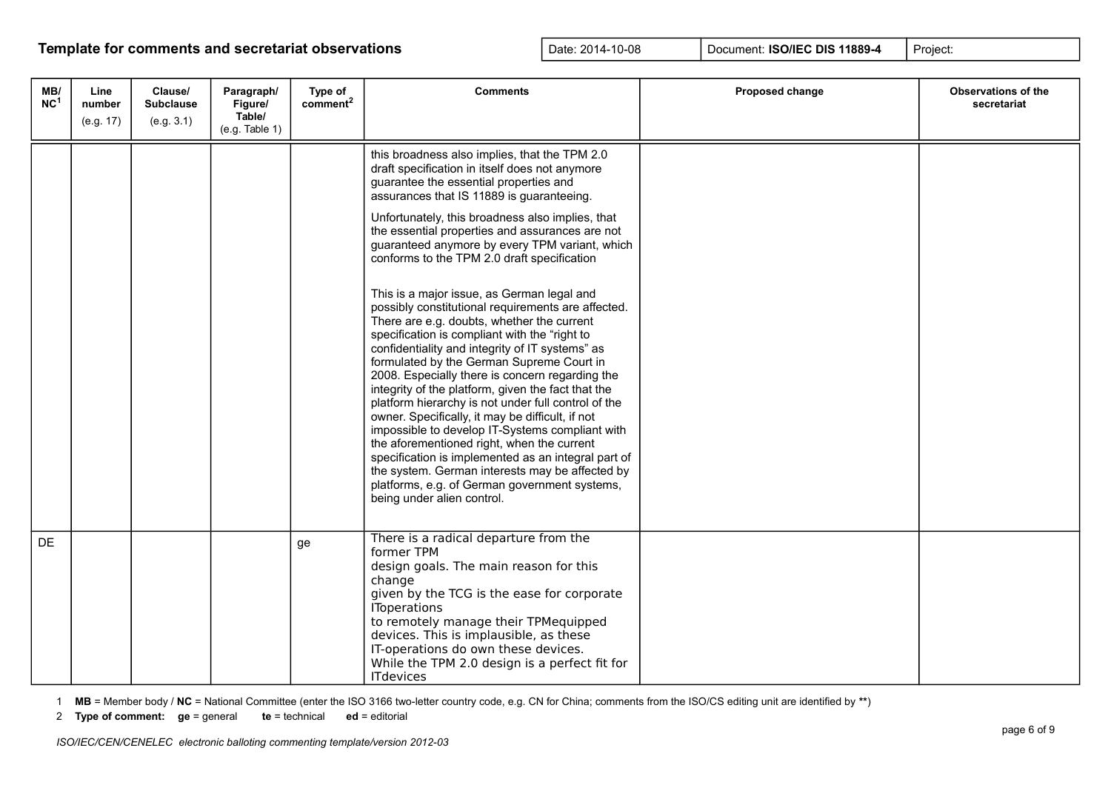| MB/<br>NC <sup>1</sup> | Line<br>number<br>(e.g. 17) | Clause/<br><b>Subclause</b><br>(e.g. 3.1) | Paragraph/<br>Figure/<br>Table/<br>(e.g. Table 1) | Type of<br>comment <sup>2</sup> | <b>Comments</b>                                                                                                                                                                                                                                                                                                                                                                                                                                                                                                                                                                                                                                                                                                                                                                                                                                                                                                                                                                                                                                                                                                                                                                                                 | Proposed change | <b>Observations of the</b><br>secretariat |
|------------------------|-----------------------------|-------------------------------------------|---------------------------------------------------|---------------------------------|-----------------------------------------------------------------------------------------------------------------------------------------------------------------------------------------------------------------------------------------------------------------------------------------------------------------------------------------------------------------------------------------------------------------------------------------------------------------------------------------------------------------------------------------------------------------------------------------------------------------------------------------------------------------------------------------------------------------------------------------------------------------------------------------------------------------------------------------------------------------------------------------------------------------------------------------------------------------------------------------------------------------------------------------------------------------------------------------------------------------------------------------------------------------------------------------------------------------|-----------------|-------------------------------------------|
|                        |                             |                                           |                                                   |                                 | this broadness also implies, that the TPM 2.0<br>draft specification in itself does not anymore<br>guarantee the essential properties and<br>assurances that IS 11889 is guaranteeing.<br>Unfortunately, this broadness also implies, that<br>the essential properties and assurances are not<br>guaranteed anymore by every TPM variant, which<br>conforms to the TPM 2.0 draft specification<br>This is a major issue, as German legal and<br>possibly constitutional requirements are affected.<br>There are e.g. doubts, whether the current<br>specification is compliant with the "right to<br>confidentiality and integrity of IT systems" as<br>formulated by the German Supreme Court in<br>2008. Especially there is concern regarding the<br>integrity of the platform, given the fact that the<br>platform hierarchy is not under full control of the<br>owner. Specifically, it may be difficult, if not<br>impossible to develop IT-Systems compliant with<br>the aforementioned right, when the current<br>specification is implemented as an integral part of<br>the system. German interests may be affected by<br>platforms, e.g. of German government systems,<br>being under alien control. |                 |                                           |
| <b>DE</b>              |                             |                                           |                                                   | ge                              | There is a radical departure from the<br>former TPM<br>design goals. The main reason for this<br>change<br>given by the TCG is the ease for corporate<br><b>IToperations</b><br>to remotely manage their TPMequipped<br>devices. This is implausible, as these<br>IT-operations do own these devices.<br>While the TPM 2.0 design is a perfect fit for<br><b>ITdevices</b>                                                                                                                                                                                                                                                                                                                                                                                                                                                                                                                                                                                                                                                                                                                                                                                                                                      |                 |                                           |

1 **MB** = Member body / **NC** = National Committee (enter the ISO 3166 two-letter country code, e.g. CN for China; comments from the ISO/CS editing unit are identified by **\*\***)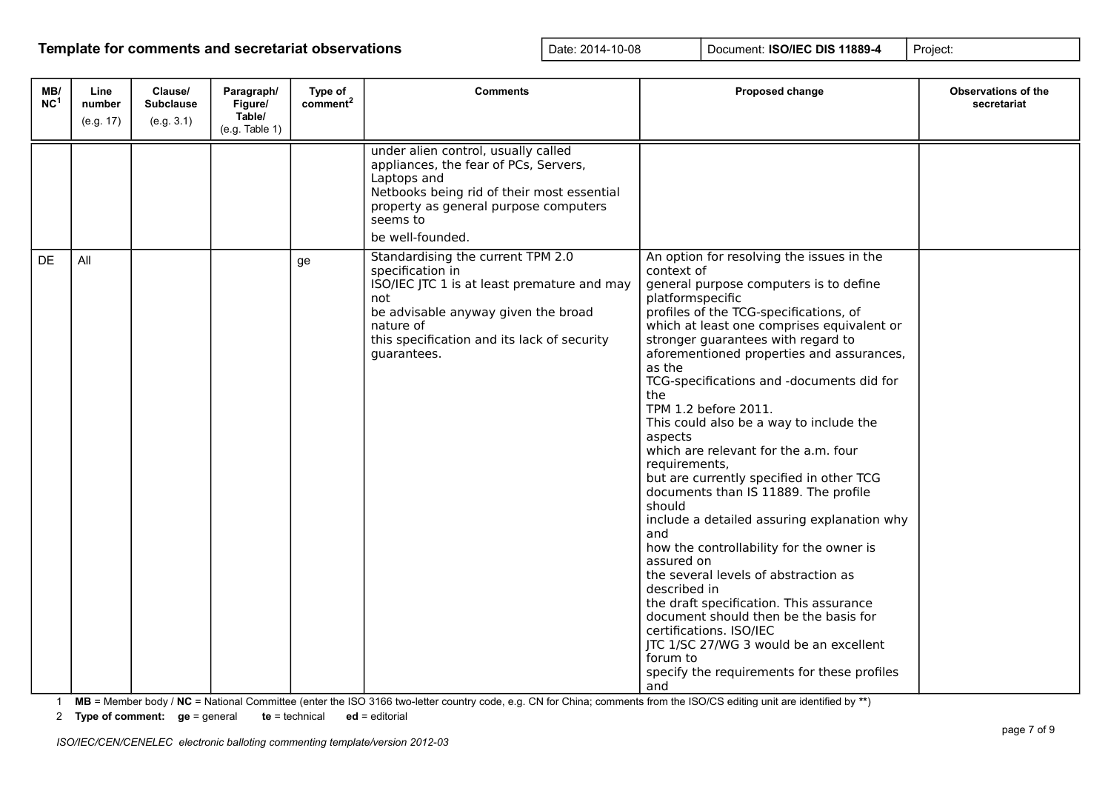| MB/<br>NC <sup>1</sup> | Line<br>number<br>(e.g. 17) | Clause/<br><b>Subclause</b><br>(e.g. 3.1) | Paragraph/<br>Figure/<br>Table/<br>(e.g. Table 1) | Type of<br>comment <sup>2</sup> | <b>Comments</b>                                                                                                                                                                                                               | Proposed change                                                                                                                                                                                                                                                                                                                                                                                                                                                                                                                                                                                                                                                                                                                                                                                                                                                                                                                                                                                        | <b>Observations of the</b><br>secretariat |
|------------------------|-----------------------------|-------------------------------------------|---------------------------------------------------|---------------------------------|-------------------------------------------------------------------------------------------------------------------------------------------------------------------------------------------------------------------------------|--------------------------------------------------------------------------------------------------------------------------------------------------------------------------------------------------------------------------------------------------------------------------------------------------------------------------------------------------------------------------------------------------------------------------------------------------------------------------------------------------------------------------------------------------------------------------------------------------------------------------------------------------------------------------------------------------------------------------------------------------------------------------------------------------------------------------------------------------------------------------------------------------------------------------------------------------------------------------------------------------------|-------------------------------------------|
|                        |                             |                                           |                                                   |                                 | under alien control, usually called<br>appliances, the fear of PCs, Servers,<br>Laptops and<br>Netbooks being rid of their most essential<br>property as general purpose computers<br>seems to<br>be well-founded.            |                                                                                                                                                                                                                                                                                                                                                                                                                                                                                                                                                                                                                                                                                                                                                                                                                                                                                                                                                                                                        |                                           |
| <b>DE</b>              | All                         |                                           |                                                   | ge                              | Standardising the current TPM 2.0<br>specification in<br>ISO/IEC JTC 1 is at least premature and may<br>not<br>be advisable anyway given the broad<br>nature of<br>this specification and its lack of security<br>quarantees. | An option for resolving the issues in the<br>context of<br>general purpose computers is to define<br>platformspecific<br>profiles of the TCG-specifications, of<br>which at least one comprises equivalent or<br>stronger guarantees with regard to<br>aforementioned properties and assurances,<br>as the<br>TCG-specifications and -documents did for<br>the<br>TPM 1.2 before 2011.<br>This could also be a way to include the<br>aspects<br>which are relevant for the a.m. four<br>requirements,<br>but are currently specified in other TCG<br>documents than IS 11889. The profile<br>should<br>include a detailed assuring explanation why<br>and<br>how the controllability for the owner is<br>assured on<br>the several levels of abstraction as<br>described in<br>the draft specification. This assurance<br>document should then be the basis for<br>certifications. ISO/IEC<br>JTC 1/SC 27/WG 3 would be an excellent<br>forum to<br>specify the requirements for these profiles<br>and |                                           |

1 **MB** = Member body / **NC** = National Committee (enter the ISO 3166 two-letter country code, e.g. CN for China; comments from the ISO/CS editing unit are identified by **\*\***)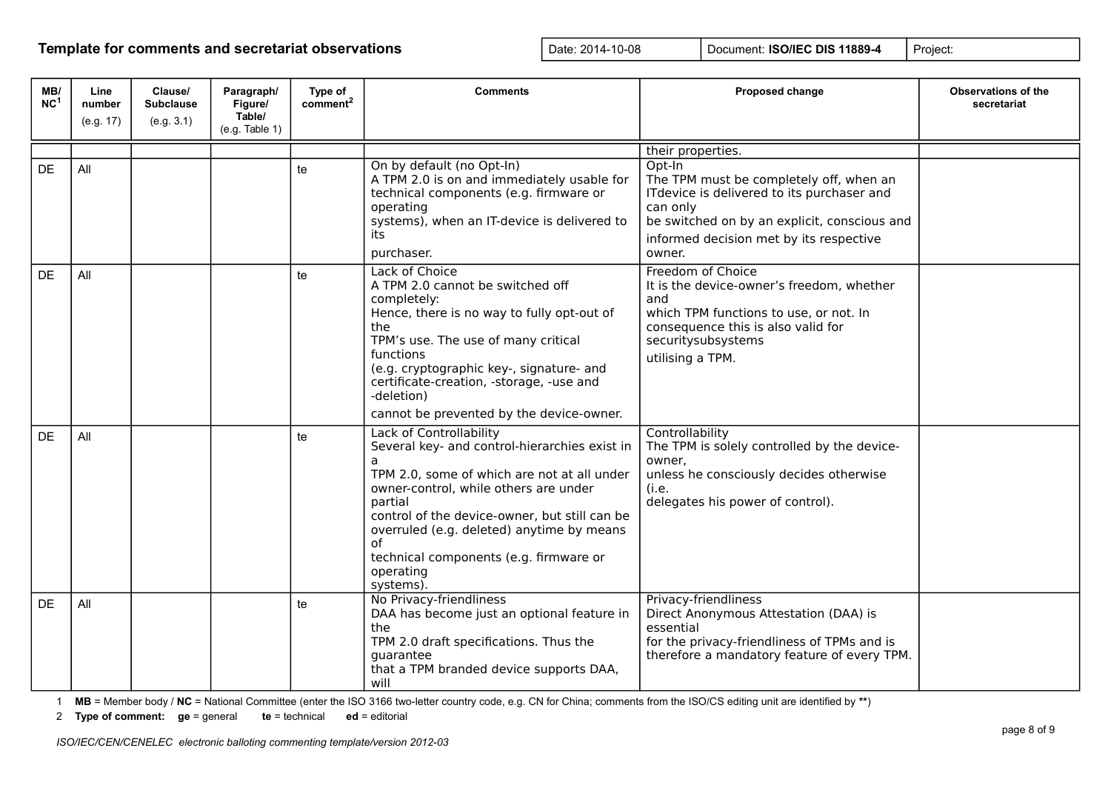| MB/<br>NC <sup>1</sup> | Line<br>number | Clause/<br><b>Subclause</b> | Paragraph/<br>Figure/<br>Table/ | Type of<br>comment <sup>2</sup> | <b>Comments</b>                                                                                                                                                                                                                                                                                                                                          | Proposed change                                                                                                                                                                                                  | <b>Observations of the</b><br>secretariat |
|------------------------|----------------|-----------------------------|---------------------------------|---------------------------------|----------------------------------------------------------------------------------------------------------------------------------------------------------------------------------------------------------------------------------------------------------------------------------------------------------------------------------------------------------|------------------------------------------------------------------------------------------------------------------------------------------------------------------------------------------------------------------|-------------------------------------------|
|                        | (e.g. 17)      | (e.g. 3.1)                  | (e.g. Table 1)                  |                                 |                                                                                                                                                                                                                                                                                                                                                          |                                                                                                                                                                                                                  |                                           |
|                        |                |                             |                                 |                                 |                                                                                                                                                                                                                                                                                                                                                          | their properties.                                                                                                                                                                                                |                                           |
| DE                     | All            |                             |                                 | te                              | On by default (no Opt-In)<br>A TPM 2.0 is on and immediately usable for<br>technical components (e.g. firmware or<br>operating<br>systems), when an IT-device is delivered to<br>its<br>purchaser.                                                                                                                                                       | Opt-In<br>The TPM must be completely off, when an<br>ITdevice is delivered to its purchaser and<br>can only<br>be switched on by an explicit, conscious and<br>informed decision met by its respective<br>owner. |                                           |
| DE                     | All            |                             |                                 | te                              | Lack of Choice<br>A TPM 2.0 cannot be switched off<br>completely:<br>Hence, there is no way to fully opt-out of<br>the<br>TPM's use. The use of many critical<br>functions<br>(e.g. cryptographic key-, signature- and<br>certificate-creation, -storage, -use and<br>-deletion)<br>cannot be prevented by the device-owner.                             | Freedom of Choice<br>It is the device-owner's freedom, whether<br>and<br>which TPM functions to use, or not. In<br>consequence this is also valid for<br>securitysubsystems<br>utilising a TPM.                  |                                           |
| DF.                    | All            |                             |                                 | te                              | Lack of Controllability<br>Several key- and control-hierarchies exist in<br>a<br>TPM 2.0, some of which are not at all under<br>owner-control, while others are under<br>partial<br>control of the device-owner, but still can be<br>overruled (e.g. deleted) anytime by means<br>οf<br>technical components (e.g. firmware or<br>operating<br>systems). | Controllability<br>The TPM is solely controlled by the device-<br>owner.<br>unless he consciously decides otherwise<br>(i.e.<br>delegates his power of control).                                                 |                                           |
| DF                     | All            |                             |                                 | te                              | No Privacy-friendliness<br>DAA has become just an optional feature in<br>the<br>TPM 2.0 draft specifications. Thus the<br>quarantee<br>that a TPM branded device supports DAA,<br>will                                                                                                                                                                   | Privacy-friendliness<br>Direct Anonymous Attestation (DAA) is<br>essential<br>for the privacy-friendliness of TPMs and is<br>therefore a mandatory feature of every TPM.                                         |                                           |

1 **MB** = Member body / **NC** = National Committee (enter the ISO 3166 two-letter country code, e.g. CN for China; comments from the ISO/CS editing unit are identified by **\*\***)